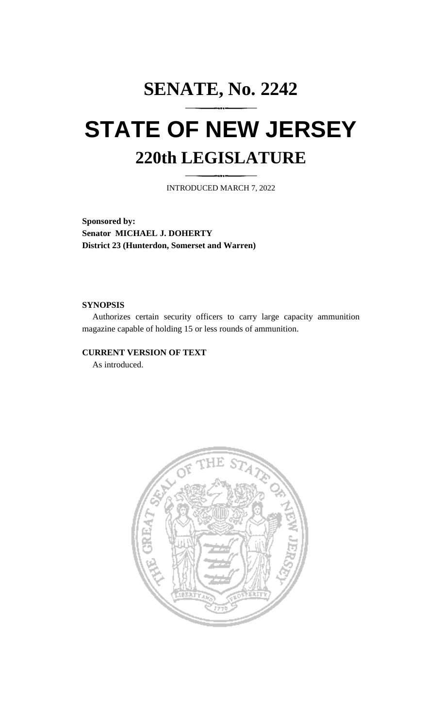## **SENATE, No. 2242 STATE OF NEW JERSEY 220th LEGISLATURE**

INTRODUCED MARCH 7, 2022

**Sponsored by: Senator MICHAEL J. DOHERTY District 23 (Hunterdon, Somerset and Warren)**

## **SYNOPSIS**

Authorizes certain security officers to carry large capacity ammunition magazine capable of holding 15 or less rounds of ammunition.

## **CURRENT VERSION OF TEXT**

As introduced.

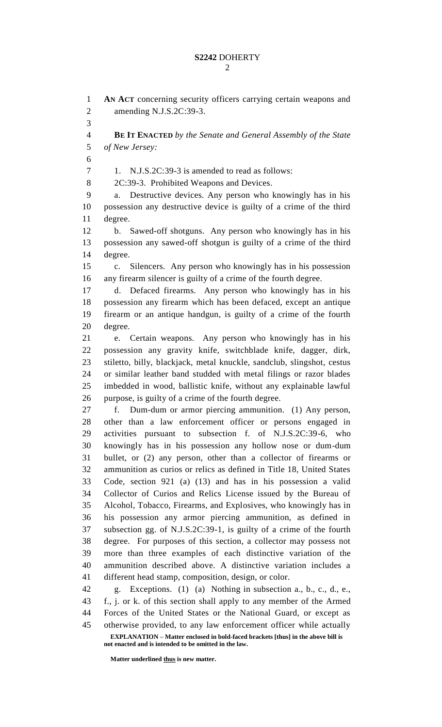**AN ACT** concerning security officers carrying certain weapons and amending N.J.S.2C:39-3. **BE IT ENACTED** *by the Senate and General Assembly of the State of New Jersey:* 1. N.J.S.2C:39-3 is amended to read as follows: 8 2C:39-3. Prohibited Weapons and Devices. a. Destructive devices. Any person who knowingly has in his possession any destructive device is guilty of a crime of the third degree. b. Sawed-off shotguns. Any person who knowingly has in his possession any sawed-off shotgun is guilty of a crime of the third degree. c. Silencers. Any person who knowingly has in his possession any firearm silencer is guilty of a crime of the fourth degree. d. Defaced firearms. Any person who knowingly has in his possession any firearm which has been defaced, except an antique firearm or an antique handgun, is guilty of a crime of the fourth degree. e. Certain weapons. Any person who knowingly has in his possession any gravity knife, switchblade knife, dagger, dirk, stiletto, billy, blackjack, metal knuckle, sandclub, slingshot, cestus or similar leather band studded with metal filings or razor blades imbedded in wood, ballistic knife, without any explainable lawful purpose, is guilty of a crime of the fourth degree. f. Dum-dum or armor piercing ammunition. (1) Any person, other than a law enforcement officer or persons engaged in activities pursuant to subsection f. of N.J.S.2C:39-6, who knowingly has in his possession any hollow nose or dum-dum bullet, or (2) any person, other than a collector of firearms or ammunition as curios or relics as defined in Title 18, United States Code, section 921 (a) (13) and has in his possession a valid Collector of Curios and Relics License issued by the Bureau of Alcohol, Tobacco, Firearms, and Explosives, who knowingly has in his possession any armor piercing ammunition, as defined in subsection gg. of N.J.S.2C:39-1, is guilty of a crime of the fourth degree. For purposes of this section, a collector may possess not more than three examples of each distinctive variation of the ammunition described above. A distinctive variation includes a different head stamp, composition, design, or color. g. Exceptions. (1) (a) Nothing in subsection a., b., c., d., e., f., j. or k. of this section shall apply to any member of the Armed Forces of the United States or the National Guard, or except as otherwise provided, to any law enforcement officer while actually

**EXPLANATION – Matter enclosed in bold-faced brackets [thus] in the above bill is not enacted and is intended to be omitted in the law.**

**Matter underlined thus is new matter.**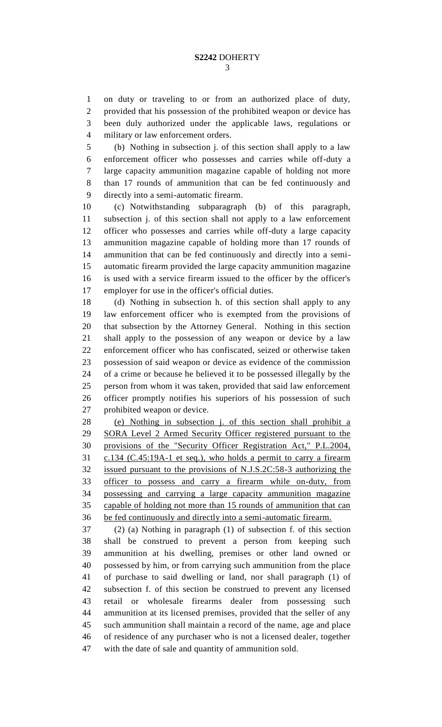on duty or traveling to or from an authorized place of duty, provided that his possession of the prohibited weapon or device has been duly authorized under the applicable laws, regulations or military or law enforcement orders.

 (b) Nothing in subsection j. of this section shall apply to a law enforcement officer who possesses and carries while off-duty a large capacity ammunition magazine capable of holding not more than 17 rounds of ammunition that can be fed continuously and directly into a semi-automatic firearm.

 (c) Notwithstanding subparagraph (b) of this paragraph, subsection j. of this section shall not apply to a law enforcement officer who possesses and carries while off-duty a large capacity ammunition magazine capable of holding more than 17 rounds of ammunition that can be fed continuously and directly into a semi- automatic firearm provided the large capacity ammunition magazine is used with a service firearm issued to the officer by the officer's employer for use in the officer's official duties.

 (d) Nothing in subsection h. of this section shall apply to any law enforcement officer who is exempted from the provisions of that subsection by the Attorney General. Nothing in this section shall apply to the possession of any weapon or device by a law enforcement officer who has confiscated, seized or otherwise taken possession of said weapon or device as evidence of the commission of a crime or because he believed it to be possessed illegally by the person from whom it was taken, provided that said law enforcement officer promptly notifies his superiors of his possession of such prohibited weapon or device.

 (e) Nothing in subsection j. of this section shall prohibit a SORA Level 2 Armed Security Officer registered pursuant to the provisions of the "Security Officer Registration Act," P.L.2004, c.134 (C.45:19A-1 et seq.), who holds a permit to carry a firearm issued pursuant to the provisions of N.J.S.2C:58-3 authorizing the officer to possess and carry a firearm while on-duty, from possessing and carrying a large capacity ammunition magazine capable of holding not more than 15 rounds of ammunition that can be fed continuously and directly into a semi-automatic firearm.

 (2) (a) Nothing in paragraph (1) of subsection f. of this section shall be construed to prevent a person from keeping such ammunition at his dwelling, premises or other land owned or possessed by him, or from carrying such ammunition from the place of purchase to said dwelling or land, nor shall paragraph (1) of subsection f. of this section be construed to prevent any licensed retail or wholesale firearms dealer from possessing such ammunition at its licensed premises, provided that the seller of any such ammunition shall maintain a record of the name, age and place of residence of any purchaser who is not a licensed dealer, together with the date of sale and quantity of ammunition sold.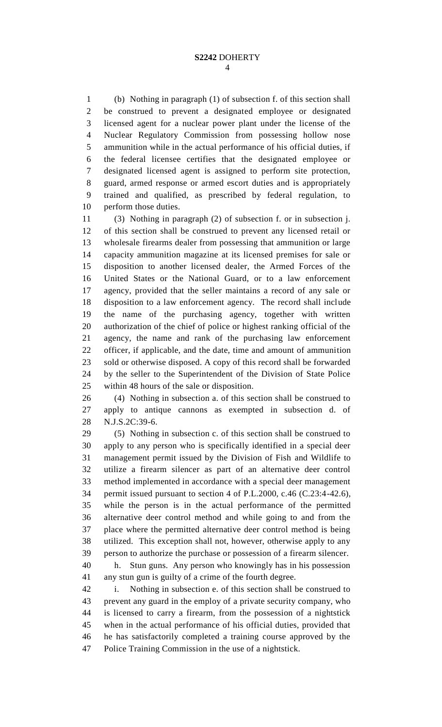(b) Nothing in paragraph (1) of subsection f. of this section shall be construed to prevent a designated employee or designated licensed agent for a nuclear power plant under the license of the Nuclear Regulatory Commission from possessing hollow nose ammunition while in the actual performance of his official duties, if the federal licensee certifies that the designated employee or designated licensed agent is assigned to perform site protection, guard, armed response or armed escort duties and is appropriately trained and qualified, as prescribed by federal regulation, to perform those duties.

 (3) Nothing in paragraph (2) of subsection f. or in subsection j. of this section shall be construed to prevent any licensed retail or wholesale firearms dealer from possessing that ammunition or large capacity ammunition magazine at its licensed premises for sale or disposition to another licensed dealer, the Armed Forces of the United States or the National Guard, or to a law enforcement agency, provided that the seller maintains a record of any sale or disposition to a law enforcement agency. The record shall include the name of the purchasing agency, together with written authorization of the chief of police or highest ranking official of the agency, the name and rank of the purchasing law enforcement officer, if applicable, and the date, time and amount of ammunition sold or otherwise disposed. A copy of this record shall be forwarded by the seller to the Superintendent of the Division of State Police within 48 hours of the sale or disposition.

 (4) Nothing in subsection a. of this section shall be construed to apply to antique cannons as exempted in subsection d. of N.J.S.2C:39-6.

 (5) Nothing in subsection c. of this section shall be construed to apply to any person who is specifically identified in a special deer management permit issued by the Division of Fish and Wildlife to utilize a firearm silencer as part of an alternative deer control method implemented in accordance with a special deer management permit issued pursuant to section 4 of P.L.2000, c.46 (C.23:4-42.6), while the person is in the actual performance of the permitted alternative deer control method and while going to and from the place where the permitted alternative deer control method is being utilized. This exception shall not, however, otherwise apply to any person to authorize the purchase or possession of a firearm silencer.

 h. Stun guns. Any person who knowingly has in his possession any stun gun is guilty of a crime of the fourth degree.

 i. Nothing in subsection e. of this section shall be construed to prevent any guard in the employ of a private security company, who is licensed to carry a firearm, from the possession of a nightstick when in the actual performance of his official duties, provided that he has satisfactorily completed a training course approved by the Police Training Commission in the use of a nightstick.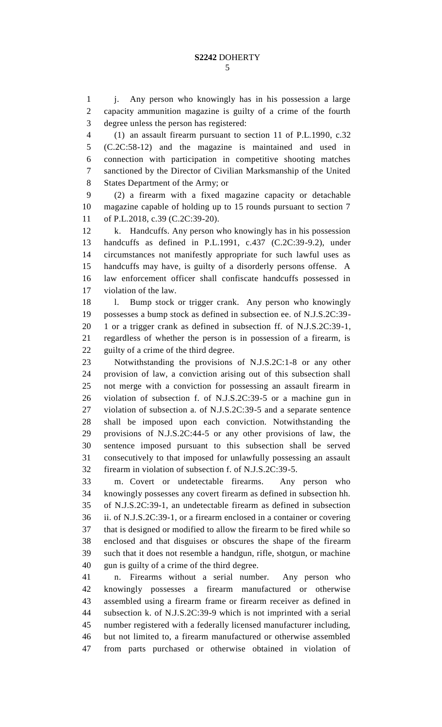j. Any person who knowingly has in his possession a large capacity ammunition magazine is guilty of a crime of the fourth degree unless the person has registered:

 (1) an assault firearm pursuant to section 11 of P.L.1990, c.32 (C.2C:58-12) and the magazine is maintained and used in connection with participation in competitive shooting matches sanctioned by the Director of Civilian Marksmanship of the United States Department of the Army; or

 (2) a firearm with a fixed magazine capacity or detachable magazine capable of holding up to 15 rounds pursuant to section 7 of P.L.2018, c.39 (C.2C:39-20).

12 k. Handcuffs. Any person who knowingly has in his possession handcuffs as defined in P.L.1991, c.437 (C.2C:39-9.2), under circumstances not manifestly appropriate for such lawful uses as handcuffs may have, is guilty of a disorderly persons offense. A law enforcement officer shall confiscate handcuffs possessed in violation of the law.

18 1. Bump stock or trigger crank. Any person who knowingly possesses a bump stock as defined in subsection ee. of N.J.S.2C:39- 1 or a trigger crank as defined in subsection ff. of N.J.S.2C:39-1, regardless of whether the person is in possession of a firearm, is guilty of a crime of the third degree.

 Notwithstanding the provisions of N.J.S.2C:1-8 or any other provision of law, a conviction arising out of this subsection shall not merge with a conviction for possessing an assault firearm in violation of subsection f. of N.J.S.2C:39-5 or a machine gun in violation of subsection a. of N.J.S.2C:39-5 and a separate sentence shall be imposed upon each conviction. Notwithstanding the provisions of N.J.S.2C:44-5 or any other provisions of law, the sentence imposed pursuant to this subsection shall be served consecutively to that imposed for unlawfully possessing an assault firearm in violation of subsection f. of N.J.S.2C:39-5.

 m. Covert or undetectable firearms. Any person who knowingly possesses any covert firearm as defined in subsection hh. of N.J.S.2C:39-1, an undetectable firearm as defined in subsection ii. of N.J.S.2C:39-1, or a firearm enclosed in a container or covering that is designed or modified to allow the firearm to be fired while so enclosed and that disguises or obscures the shape of the firearm such that it does not resemble a handgun, rifle, shotgun, or machine gun is guilty of a crime of the third degree.

 n. Firearms without a serial number. Any person who knowingly possesses a firearm manufactured or otherwise assembled using a firearm frame or firearm receiver as defined in subsection k. of N.J.S.2C:39-9 which is not imprinted with a serial number registered with a federally licensed manufacturer including, but not limited to, a firearm manufactured or otherwise assembled from parts purchased or otherwise obtained in violation of